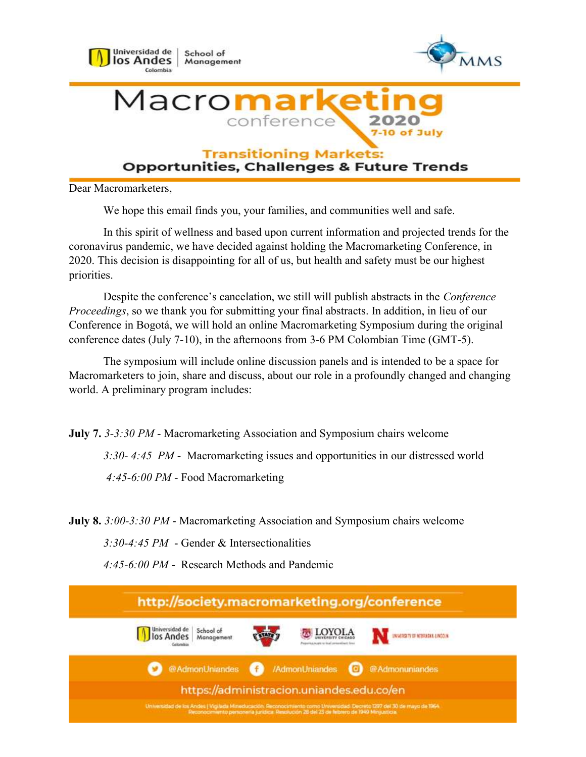

**Transitioning Markets:** 

**Opportunities, Challenges & Future Trends** 

Dear Macromarketers,

We hope this email finds you, your families, and communities well and safe.

In this spirit of wellness and based upon current information and projected trends for the coronavirus pandemic, we have decided against holding the Macromarketing Conference, in 2020. This decision is disappointing for all of us, but health and safety must be our highest priorities.

Despite the conference's cancelation, we still will publish abstracts in the Conference Proceedings, so we thank you for submitting your final abstracts. In addition, in lieu of our Conference in Bogotá, we will hold an online Macromarketing Symposium during the original conference dates (July 7-10), in the afternoons from 3-6 PM Colombian Time (GMT-5).

The symposium will include online discussion panels and is intended to be a space for Macromarketers to join, share and discuss, about our role in a profoundly changed and changing world. A preliminary program includes:

July 7. 3-3:30 PM - Macromarketing Association and Symposium chairs welcome

3:30- 4:45 PM - Macromarketing issues and opportunities in our distressed world

4:45-6:00 PM - Food Macromarketing

July 8. 3:00-3:30 PM - Macromarketing Association and Symposium chairs welcome

3:30-4:45 PM - Gender & Intersectionalities

4:45-6:00 PM - Research Methods and Pandemic

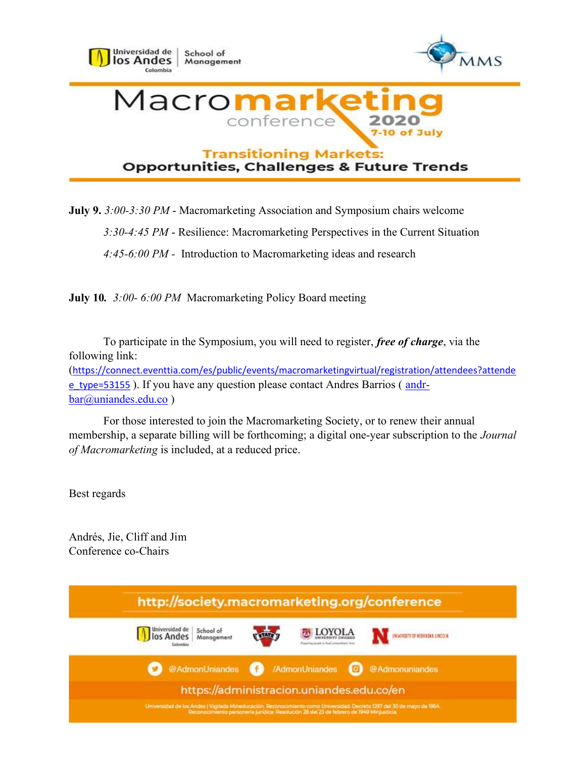

## **Opportunities, Challenges & Future Trends**

July 9. 3:00-3:30 PM - Macromarketing Association and Symposium chairs welcome

3:30-4:45 PM - Resilience: Macromarketing Perspectives in the Current Situation

4:45-6:00 PM - Introduction to Macromarketing ideas and research

July 10. 3:00-6:00 PM Macromarketing Policy Board meeting

To participate in the Symposium, you will need to register, free of charge, via the following link: (https://connect.eventtia.com/es/public/events/macromarketingvirtual/registration/attendees?attende e\_type=53155 ). If you have any question please contact Andres Barrios ( and rbar@uniandes.edu.co )

For those interested to join the Macromarketing Society, or to renew their annual membership, a separate billing will be forthcoming; a digital one-year subscription to the Journal of Macromarketing is included, at a reduced price.

Best regards

Andrés, Jie, Cliff and Jim Conference co-Chairs